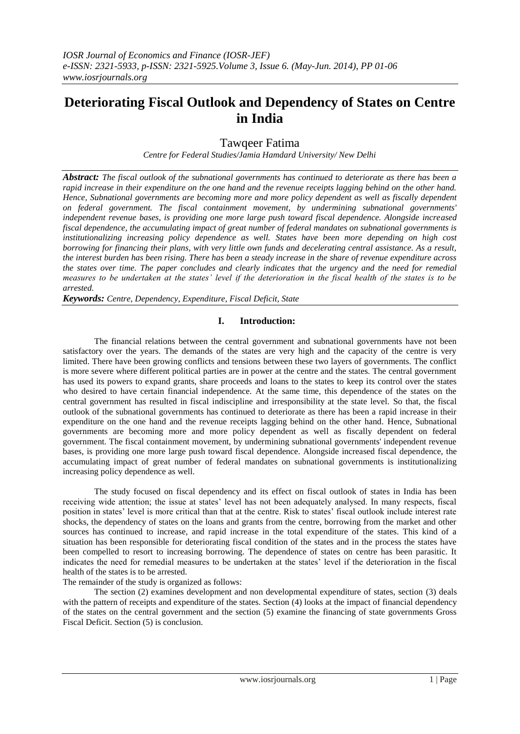# **Deteriorating Fiscal Outlook and Dependency of States on Centre in India**

Tawqeer Fatima

*Centre for Federal Studies/Jamia Hamdard University/ New Delhi*

*Abstract: The fiscal outlook of the subnational governments has continued to deteriorate as there has been a rapid increase in their expenditure on the one hand and the revenue receipts lagging behind on the other hand. Hence, Subnational governments are becoming more and more policy dependent as well as fiscally dependent on federal government. The fiscal containment movement, by undermining subnational governments' independent revenue bases, is providing one more large push toward fiscal dependence. Alongside increased fiscal dependence, the accumulating impact of great number of federal mandates on subnational governments is institutionalizing increasing policy dependence as well. States have been more depending on high cost borrowing for financing their plans, with very little own funds and decelerating central assistance. As a result, the interest burden has been rising. There has been a steady increase in the share of revenue expenditure across the states over time. The paper concludes and clearly indicates that the urgency and the need for remedial measures to be undertaken at the states' level if the deterioration in the fiscal health of the states is to be arrested.* 

*Keywords: Centre, Dependency, Expenditure, Fiscal Deficit, State* 

### **I. Introduction:**

The financial relations between the central government and subnational governments have not been satisfactory over the years. The demands of the states are very high and the capacity of the centre is very limited. There have been growing conflicts and tensions between these two layers of governments. The conflict is more severe where different political parties are in power at the centre and the states. The central government has used its powers to expand grants, share proceeds and loans to the states to keep its control over the states who desired to have certain financial independence. At the same time, this dependence of the states on the central government has resulted in fiscal indiscipline and irresponsibility at the state level. So that, the fiscal outlook of the subnational governments has continued to deteriorate as there has been a rapid increase in their expenditure on the one hand and the revenue receipts lagging behind on the other hand. Hence, Subnational governments are becoming more and more policy dependent as well as fiscally dependent on federal government. The fiscal containment movement, by undermining subnational governments' independent revenue bases, is providing one more large push toward fiscal dependence. Alongside increased fiscal dependence, the accumulating impact of great number of federal mandates on subnational governments is institutionalizing increasing policy dependence as well.

The study focused on fiscal dependency and its effect on fiscal outlook of states in India has been receiving wide attention; the issue at states' level has not been adequately analysed. In many respects, fiscal position in states' level is more critical than that at the centre. Risk to states' fiscal outlook include interest rate shocks, the dependency of states on the loans and grants from the centre, borrowing from the market and other sources has continued to increase, and rapid increase in the total expenditure of the states. This kind of a situation has been responsible for deteriorating fiscal condition of the states and in the process the states have been compelled to resort to increasing borrowing. The dependence of states on centre has been parasitic. It indicates the need for remedial measures to be undertaken at the states' level if the deterioration in the fiscal health of the states is to be arrested.

The remainder of the study is organized as follows:

The section (2) examines development and non developmental expenditure of states, section (3) deals with the pattern of receipts and expenditure of the states. Section (4) looks at the impact of financial dependency of the states on the central government and the section (5) examine the financing of state governments Gross Fiscal Deficit. Section (5) is conclusion.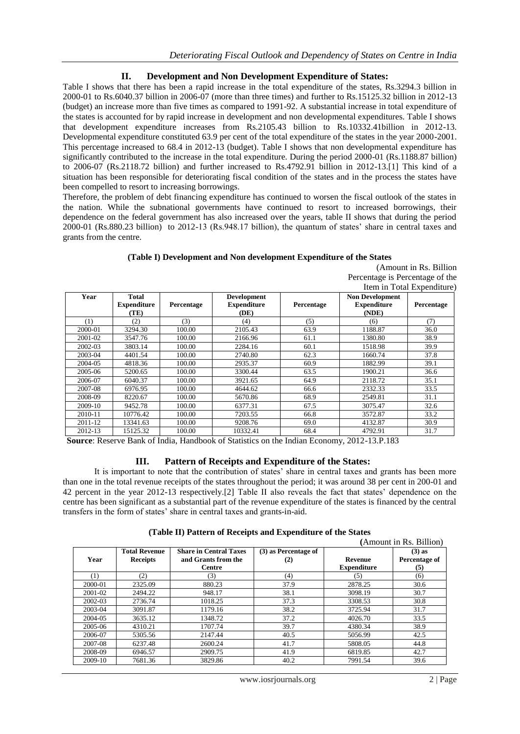## **II. Development and Non Development Expenditure of States:**

Table I shows that there has been a rapid increase in the total expenditure of the states, Rs.3294.3 billion in 2000-01 to Rs.6040.37 billion in 2006-07 (more than three times) and further to Rs.15125.32 billion in 2012-13 (budget) an increase more than five times as compared to 1991-92. A substantial increase in total expenditure of the states is accounted for by rapid increase in development and non developmental expenditures. Table I shows that development expenditure increases from Rs.2105.43 billion to Rs.10332.41billion in 2012-13. Developmental expenditure constituted 63.9 per cent of the total expenditure of the states in the year 2000-2001. This percentage increased to 68.4 in 2012-13 (budget). Table I shows that non developmental expenditure has significantly contributed to the increase in the total expenditure. During the period 2000-01 (Rs.1188.87 billion) to 2006-07 (Rs.2118.72 billion) and further increased to Rs.4792.91 billion in 2012-13.[1] This kind of a situation has been responsible for deteriorating fiscal condition of the states and in the process the states have been compelled to resort to increasing borrowings.

Therefore, the problem of debt financing expenditure has continued to worsen the fiscal outlook of the states in the nation. While the subnational governments have continued to resort to increased borrowings, their dependence on the federal government has also increased over the years, table II shows that during the period 2000-01 (Rs.880.23 billion) to 2012-13 (Rs.948.17 billion), the quantum of states' share in central taxes and grants from the centre.

### **(Table I) Development and Non development Expenditure of the States**

| $-1$ | --- | - - |  |  |  |  |                                 |
|------|-----|-----|--|--|--|--|---------------------------------|
|      |     |     |  |  |  |  | Item in Total Expenditure)      |
|      |     |     |  |  |  |  | Percentage is Percentage of the |
|      |     |     |  |  |  |  | (Amount in Rs. Billion)         |

| Year    | <b>Total</b><br><b>Expenditure</b><br>(TE) | Percentage | <b>Development</b><br><b>Expenditure</b><br>(DE) | Percentage | <b>Non Development</b><br><b>Expenditure</b><br>(NDE) | л.<br>Percentage |
|---------|--------------------------------------------|------------|--------------------------------------------------|------------|-------------------------------------------------------|------------------|
| (1)     | (2)                                        | (3)        | (4)                                              | (5)        | (6)                                                   | (7)              |
| 2000-01 | 3294.30                                    | 100.00     | 2105.43                                          | 63.9       | 1188.87                                               | 36.0             |
| 2001-02 | 3547.76                                    | 100.00     | 2166.96                                          | 61.1       | 1380.80                                               | 38.9             |
| 2002-03 | 3803.14                                    | 100.00     | 2284.16                                          | 60.1       | 1518.98                                               | 39.9             |
| 2003-04 | 4401.54                                    | 100.00     | 2740.80                                          | 62.3       | 1660.74                                               | 37.8             |
| 2004-05 | 4818.36                                    | 100.00     | 2935.37                                          | 60.9       | 1882.99                                               | 39.1             |
| 2005-06 | 5200.65                                    | 100.00     | 3300.44                                          | 63.5       | 1900.21                                               | 36.6             |
| 2006-07 | 6040.37                                    | 100.00     | 3921.65                                          | 64.9       | 2118.72                                               | 35.1             |
| 2007-08 | 6976.95                                    | 100.00     | 4644.62                                          | 66.6       | 2332.33                                               | 33.5             |
| 2008-09 | 8220.67                                    | 100.00     | 5670.86                                          | 68.9       | 2549.81                                               | 31.1             |
| 2009-10 | 9452.78                                    | 100.00     | 6377.31                                          | 67.5       | 3075.47                                               | 32.6             |
| 2010-11 | 10776.42                                   | 100.00     | 7203.55                                          | 66.8       | 3572.87                                               | 33.2             |
| 2011-12 | 13341.63                                   | 100.00     | 9208.76                                          | 69.0       | 4132.87                                               | 30.9             |
| 2012-13 | 15125.32                                   | 100.00     | 10332.41                                         | 68.4       | 4792.91                                               | 31.7             |

**Source**: Reserve Bank of India, Handbook of Statistics on the Indian Economy, 2012-13.P.183

## **III. Pattern of Receipts and Expenditure of the States:**

It is important to note that the contribution of states' share in central taxes and grants has been more than one in the total revenue receipts of the states throughout the period; it was around 38 per cent in 200-01 and 42 percent in the year 2012-13 respectively.[2] Table II also reveals the fact that states' dependence on the centre has been significant as a substantial part of the revenue expenditure of the states is financed by the central transfers in the form of states' share in central taxes and grants-in-aid.

| (Table II) Pattern of Receipts and Expenditure of the States |  |
|--------------------------------------------------------------|--|
|--------------------------------------------------------------|--|

|         | (Amount in Rs. Billion) |                               |                      |                    |               |  |  |  |
|---------|-------------------------|-------------------------------|----------------------|--------------------|---------------|--|--|--|
|         | <b>Total Revenue</b>    | <b>Share in Central Taxes</b> | (3) as Percentage of |                    | $(3)$ as      |  |  |  |
| Year    | <b>Receipts</b>         | and Grants from the           | (2)                  | Revenue            | Percentage of |  |  |  |
|         |                         | Centre                        |                      | <b>Expenditure</b> | (5)           |  |  |  |
| (1)     | (2)                     | (3)                           | (4)                  | (5)                | (6)           |  |  |  |
| 2000-01 | 2325.09                 | 880.23                        | 37.9                 | 2878.25            | 30.6          |  |  |  |
| 2001-02 | 2494.22                 | 948.17                        | 38.1                 | 3098.19            | 30.7          |  |  |  |
| 2002-03 | 2736.74                 | 1018.25                       | 37.3                 | 3308.53            | 30.8          |  |  |  |
| 2003-04 | 3091.87                 | 1179.16                       | 38.2                 | 3725.94            | 31.7          |  |  |  |
| 2004-05 | 3635.12                 | 1348.72                       | 37.2                 | 4026.70            | 33.5          |  |  |  |
| 2005-06 | 4310.21                 | 1707.74                       | 39.7                 | 4380.34            | 38.9          |  |  |  |
| 2006-07 | 5305.56                 | 2147.44                       | 40.5                 | 5056.99            | 42.5          |  |  |  |
| 2007-08 | 6237.48                 | 2600.24                       | 41.7                 | 5808.05            | 44.8          |  |  |  |
| 2008-09 | 6946.57                 | 2909.75                       | 41.9                 | 6819.85            | 42.7          |  |  |  |
| 2009-10 | 7681.36                 | 3829.86                       | 40.2                 | 7991.54            | 39.6          |  |  |  |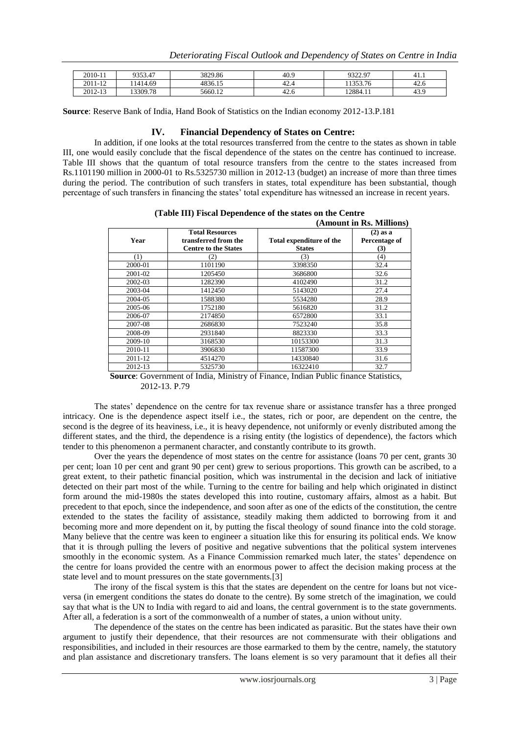| 2010-11 | 9353.47  | 3829.86 | 40.9  | 0322007<br>,,,,,, | 41.1           |
|---------|----------|---------|-------|-------------------|----------------|
| 2011-12 | 1414.69  | 4836.15 | -42.  | 125276            | 42.u           |
| 2012-13 | 13309.78 | 5660.12 | -42.6 | 12884.11          | $\sim$<br>43.5 |

**Source**: Reserve Bank of India, Hand Book of Statistics on the Indian economy 2012-13.P.181

### **IV. Financial Dependency of States on Centre:**

In addition, if one looks at the total resources transferred from the centre to the states as shown in table III, one would easily conclude that the fiscal dependence of the states on the centre has continued to increase. Table III shows that the quantum of total resource transfers from the centre to the states increased from Rs.1101190 million in 2000-01 to Rs.5325730 million in 2012-13 (budget) an increase of more than three times during the period. The contribution of such transfers in states, total expenditure has been substantial, though percentage of such transfers in financing the states' total expenditure has witnessed an increase in recent years.

|         |                                                                               |                                           | (Amount in Rs. Millions)           |
|---------|-------------------------------------------------------------------------------|-------------------------------------------|------------------------------------|
| Year    | <b>Total Resources</b><br>transferred from the<br><b>Centre to the States</b> | Total expenditure of the<br><b>States</b> | $(2)$ as a<br>Percentage of<br>(3) |
| (1)     | (2)                                                                           | (3)                                       | (4)                                |
| 2000-01 | 1101190                                                                       | 3398350                                   | 32.4                               |
| 2001-02 | 1205450                                                                       | 3686800                                   | 32.6                               |
| 2002-03 | 1282390                                                                       | 4102490                                   | 31.2                               |
| 2003-04 | 1412450                                                                       | 5143020                                   | 27.4                               |
| 2004-05 | 1588380                                                                       | 5534280                                   | 28.9                               |
| 2005-06 | 1752180                                                                       | 5616820                                   | 31.2                               |
| 2006-07 | 2174850                                                                       | 6572800                                   | 33.1                               |
| 2007-08 | 2686830                                                                       | 7523240                                   | 35.8                               |
| 2008-09 | 2931840                                                                       | 8823330                                   | 33.3                               |
| 2009-10 | 3168530                                                                       | 10153300                                  | 31.3                               |
| 2010-11 | 3906830                                                                       | 11587300                                  | 33.9                               |
| 2011-12 | 4514270                                                                       | 14330840                                  | 31.6                               |
| 2012-13 | 5325730                                                                       | 16322410                                  | 32.7                               |

**(Table III) Fiscal Dependence of the states on the Centre**

**Source**: Government of India, Ministry of Finance, Indian Public finance Statistics, 2012-13. P.79

The states' dependence on the centre for tax revenue share or assistance transfer has a three pronged intricacy. One is the dependence aspect itself i.e., the states, rich or poor, are dependent on the centre, the second is the degree of its heaviness, i.e., it is heavy dependence, not uniformly or evenly distributed among the different states, and the third, the dependence is a rising entity (the logistics of dependence), the factors which tender to this phenomenon a permanent character, and constantly contribute to its growth.

Over the years the dependence of most states on the centre for assistance (loans 70 per cent, grants 30 per cent; loan 10 per cent and grant 90 per cent) grew to serious proportions. This growth can be ascribed, to a great extent, to their pathetic financial position, which was instrumental in the decision and lack of initiative detected on their part most of the while. Turning to the centre for bailing and help which originated in distinct form around the mid-1980s the states developed this into routine, customary affairs, almost as a habit. But precedent to that epoch, since the independence, and soon after as one of the edicts of the constitution, the centre extended to the states the facility of assistance, steadily making them addicted to borrowing from it and becoming more and more dependent on it, by putting the fiscal theology of sound finance into the cold storage. Many believe that the centre was keen to engineer a situation like this for ensuring its political ends. We know that it is through pulling the levers of positive and negative subventions that the political system intervenes smoothly in the economic system. As a Finance Commission remarked much later, the states' dependence on the centre for loans provided the centre with an enormous power to affect the decision making process at the state level and to mount pressures on the state governments.[3]

The irony of the fiscal system is this that the states are dependent on the centre for loans but not viceversa (in emergent conditions the states do donate to the centre). By some stretch of the imagination, we could say that what is the UN to India with regard to aid and loans, the central government is to the state governments. After all, a federation is a sort of the commonwealth of a number of states, a union without unity.

The dependence of the states on the centre has been indicated as parasitic. But the states have their own argument to justify their dependence, that their resources are not commensurate with their obligations and responsibilities, and included in their resources are those earmarked to them by the centre, namely, the statutory and plan assistance and discretionary transfers. The loans element is so very paramount that it defies all their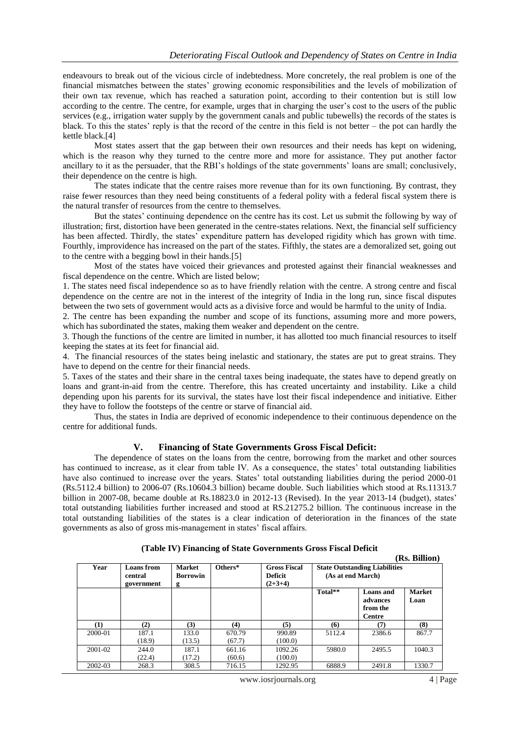endeavours to break out of the vicious circle of indebtedness. More concretely, the real problem is one of the financial mismatches between the states' growing economic responsibilities and the levels of mobilization of their own tax revenue, which has reached a saturation point, according to their contention but is still low according to the centre. The centre, for example, urges that in charging the user's cost to the users of the public services (e.g., irrigation water supply by the government canals and public tubewells) the records of the states is black. To this the states' reply is that the record of the centre in this field is not better – the pot can hardly the kettle black.[4]

Most states assert that the gap between their own resources and their needs has kept on widening, which is the reason why they turned to the centre more and more for assistance. They put another factor ancillary to it as the persuader, that the RBI's holdings of the state governments' loans are small; conclusively, their dependence on the centre is high.

The states indicate that the centre raises more revenue than for its own functioning. By contrast, they raise fewer resources than they need being constituents of a federal polity with a federal fiscal system there is the natural transfer of resources from the centre to themselves.

But the states' continuing dependence on the centre has its cost. Let us submit the following by way of illustration; first, distortion have been generated in the centre-states relations. Next, the financial self sufficiency has been affected. Thirdly, the states' expenditure pattern has developed rigidity which has grown with time. Fourthly, improvidence has increased on the part of the states. Fifthly, the states are a demoralized set, going out to the centre with a begging bowl in their hands.[5]

Most of the states have voiced their grievances and protested against their financial weaknesses and fiscal dependence on the centre. Which are listed below;

1. The states need fiscal independence so as to have friendly relation with the centre. A strong centre and fiscal dependence on the centre are not in the interest of the integrity of India in the long run, since fiscal disputes between the two sets of government would acts as a divisive force and would be harmful to the unity of India.

2. The centre has been expanding the number and scope of its functions, assuming more and more powers, which has subordinated the states, making them weaker and dependent on the centre.

3. Though the functions of the centre are limited in number, it has allotted too much financial resources to itself keeping the states at its feet for financial aid.

4. The financial resources of the states being inelastic and stationary, the states are put to great strains. They have to depend on the centre for their financial needs.

5. Taxes of the states and their share in the central taxes being inadequate, the states have to depend greatly on loans and grant-in-aid from the centre. Therefore, this has created uncertainty and instability. Like a child depending upon his parents for its survival, the states have lost their fiscal independence and initiative. Either they have to follow the footsteps of the centre or starve of financial aid.

Thus, the states in India are deprived of economic independence to their continuous dependence on the centre for additional funds.

#### **V. Financing of State Governments Gross Fiscal Deficit:**

The dependence of states on the loans from the centre, borrowing from the market and other sources has continued to increase, as it clear from table IV. As a consequence, the states' total outstanding liabilities have also continued to increase over the years. States' total outstanding liabilities during the period 2000-01 (Rs.5112.4 billion) to 2006-07 (Rs.10604.3 billion) became double. Such liabilities which stood at Rs.11313.7 billion in 2007-08, became double at Rs.18823.0 in 2012-13 (Revised). In the year 2013-14 (budget), states' total outstanding liabilities further increased and stood at RS.21275.2 billion. The continuous increase in the total outstanding liabilities of the states is a clear indication of deterioration in the finances of the state governments as also of gross mis-management in states' fiscal affairs.

|             |                                            |                                       |           |                                                    |                                                           |                                             | (Rs. Billion)         |
|-------------|--------------------------------------------|---------------------------------------|-----------|----------------------------------------------------|-----------------------------------------------------------|---------------------------------------------|-----------------------|
| Year        | <b>Loans</b> from<br>central<br>government | <b>Market</b><br><b>Borrowin</b><br>g | $Others*$ | <b>Gross Fiscal</b><br><b>Deficit</b><br>$(2+3+4)$ | <b>State Outstanding Liabilities</b><br>(As at end March) |                                             |                       |
|             |                                            |                                       |           |                                                    | Total**                                                   | Loans and<br>advances<br>from the<br>Centre | <b>Market</b><br>Loan |
| $\bf(1)$    | (2)                                        | (3)                                   | (4)       | (5)                                                | (6)                                                       | (7)                                         | (8)                   |
| 2000-01     | 187.1                                      | 133.0                                 | 670.79    | 990.89                                             | 5112.4                                                    | 2386.6                                      | 867.7                 |
|             | (18.9)                                     | (13.5)                                | (67.7)    | (100.0)                                            |                                                           |                                             |                       |
| $2001 - 02$ | 244.0                                      | 187.1                                 | 661.16    | 1092.26                                            | 5980.0                                                    | 2495.5                                      | 1040.3                |
|             | (22.4)                                     | (17.2)                                | (60.6)    | (100.0)                                            |                                                           |                                             |                       |
| 2002-03     | 268.3                                      | 308.5                                 | 716.15    | 1292.95                                            | 6888.9                                                    | 2491.8                                      | 1330.7                |

## **(Table IV) Financing of State Governments Gross Fiscal Deficit**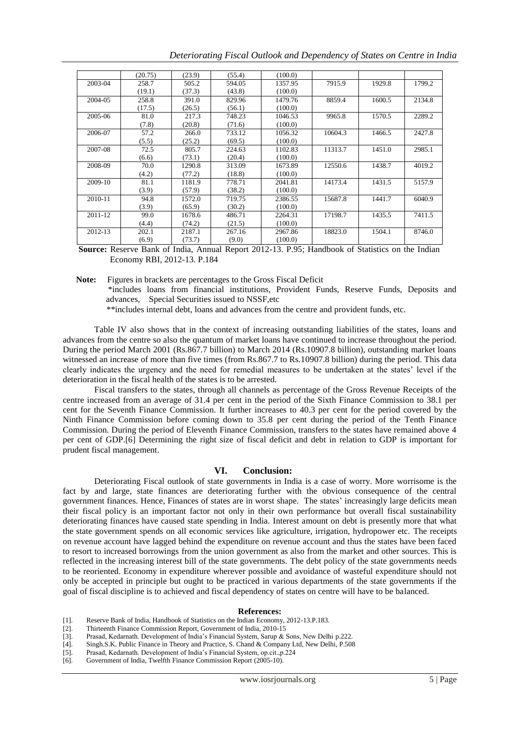| Deteriorating Fiscal Outlook and Dependency of States on Centre in India |  |  |  |  |
|--------------------------------------------------------------------------|--|--|--|--|
|                                                                          |  |  |  |  |

|         | (20.75) | (23.9) |        | (100.0) |         |        |        |
|---------|---------|--------|--------|---------|---------|--------|--------|
|         |         |        | (55.4) |         |         |        |        |
| 2003-04 | 258.7   | 505.2  | 594.05 | 1357.95 | 7915.9  | 1929.8 | 1799.2 |
|         | (19.1)  | (37.3) | (43.8) | (100.0) |         |        |        |
| 2004-05 | 258.8   | 391.0  | 829.96 | 1479.76 | 8859.4  | 1600.5 | 2134.8 |
|         | (17.5)  | (26.5) | (56.1) | (100.0) |         |        |        |
| 2005-06 | 81.0    | 217.3  | 748.23 | 1046.53 | 9965.8  | 1570.5 | 2289.2 |
|         | (7.8)   | (20.8) | (71.6) | (100.0) |         |        |        |
| 2006-07 | 57.2    | 266.0  | 733.12 | 1056.32 | 10604.3 | 1466.5 | 2427.8 |
|         | (5.5)   | (25.2) | (69.5) | (100.0) |         |        |        |
| 2007-08 | 72.5    | 805.7  | 224.63 | 1102.83 | 11313.7 | 1451.0 | 2985.1 |
|         | (6.6)   | (73.1) | (20.4) | (100.0) |         |        |        |
| 2008-09 | 70.0    | 1290.8 | 313.09 | 1673.89 | 12550.6 | 1438.7 | 4019.2 |
|         | (4.2)   | (77.2) | (18.8) | (100.0) |         |        |        |
| 2009-10 | 81.1    | 1181.9 | 778.71 | 2041.81 | 14173.4 | 1431.5 | 5157.9 |
|         | (3.9)   | (57.9) | (38.2) | (100.0) |         |        |        |
| 2010-11 | 94.8    | 1572.0 | 719.75 | 2386.55 | 15687.8 | 1441.7 | 6040.9 |
|         | (3.9)   | (65.9) | (30.2) | (100.0) |         |        |        |
| 2011-12 | 99.0    | 1678.6 | 486.71 | 2264.31 | 17198.7 | 1435.5 | 7411.5 |
|         | (4.4)   | (74.2) | (21.5) | (100.0) |         |        |        |
| 2012-13 | 202.1   | 2187.1 | 267.16 | 2967.86 | 18823.0 | 1504.1 | 8746.0 |
|         | (6.9)   | (73.7) | (9.0)  | (100.0) |         |        |        |

**Source:** Reserve Bank of India, Annual Report 2012-13. P.95; Handbook of Statistics on the Indian Economy RBI, 2012-13. P.184

**Note:** Figures in brackets are percentages to the Gross Fiscal Deficit

 \*includes loans from financial institutions, Provident Funds, Reserve Funds, Deposits and advances, Special Securities issued to NSSF,etc

\*\*includes internal debt, loans and advances from the centre and provident funds, etc.

Table IV also shows that in the context of increasing outstanding liabilities of the states, loans and advances from the centre so also the quantum of market loans have continued to increase throughout the period. During the period March 2001 (Rs.867.7 billion) to March 2014 (Rs.10907.8 billion), outstanding market loans witnessed an increase of more than five times (from Rs.867.7 to Rs.10907.8 billion) during the period. This data clearly indicates the urgency and the need for remedial measures to be undertaken at the states' level if the deterioration in the fiscal health of the states is to be arrested.

Fiscal transfers to the states, through all channels as percentage of the Gross Revenue Receipts of the centre increased from an average of 31.4 per cent in the period of the Sixth Finance Commission to 38.1 per cent for the Seventh Finance Commission. It further increases to 40.3 per cent for the period covered by the Ninth Finance Commission before coming down to 35.8 per cent during the period of the Tenth Finance Commission. During the period of Eleventh Finance Commission, transfers to the states have remained above 4 per cent of GDP.[6] Determining the right size of fiscal deficit and debt in relation to GDP is important for prudent fiscal management.

#### **VI. Conclusion:**

Deteriorating Fiscal outlook of state governments in India is a case of worry. More worrisome is the fact by and large, state finances are deteriorating further with the obvious consequence of the central government finances. Hence, Finances of states are in worst shape. The states' increasingly large deficits mean their fiscal policy is an important factor not only in their own performance but overall fiscal sustainability deteriorating finances have caused state spending in India. Interest amount on debt is presently more that what the state government spends on all economic services like agriculture, irrigation, hydropower etc. The receipts on revenue account have lagged behind the expenditure on revenue account and thus the states have been faced to resort to increased borrowings from the union government as also from the market and other sources. This is reflected in the increasing interest bill of the state governments. The debt policy of the state governments needs to be reoriented. Economy in expenditure wherever possible and avoidance of wasteful expenditure should not only be accepted in principle but ought to be practiced in various departments of the state governments if the goal of fiscal discipline is to achieved and fiscal dependency of states on centre will have to be balanced.

#### **References:**

- [1]. Reserve Bank of India, Handbook of Statistics on the Indian Economy, 2012-13.P.183.
- [2]. Thirteenth Finance Commission Report, Government of India, 2010-15

- [4]. Singh.S.K. Public Finance in Theory and Practice, S. Chand & Company Ltd, New Delhi, P.508
- [5]. Prasad, Kedarnath. Development of India's Financial System, op.cit.,p.224
- [6]. Government of India, Twelfth Finance Commission Report (2005-10).

Prasad, Kedarnath. Development of India's Financial System, Sarup & Sons, New Delhi p.222.